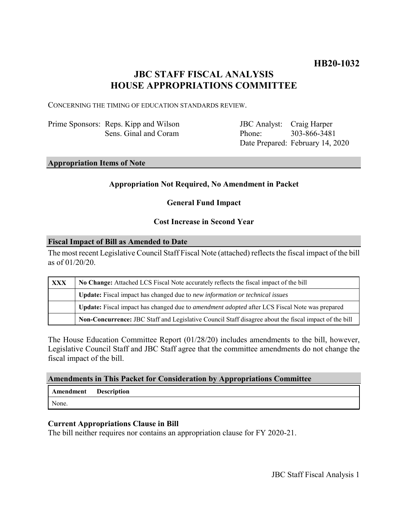# **JBC STAFF FISCAL ANALYSIS HOUSE APPROPRIATIONS COMMITTEE**

CONCERNING THE TIMING OF EDUCATION STANDARDS REVIEW.

Prime Sponsors: Reps. Kipp and Wilson Sens. Ginal and Coram

JBC Analyst: Craig Harper Phone: Date Prepared: February 14, 2020 303-866-3481

### **Appropriation Items of Note**

# **Appropriation Not Required, No Amendment in Packet**

# **General Fund Impact**

# **Cost Increase in Second Year**

#### **Fiscal Impact of Bill as Amended to Date**

The most recent Legislative Council Staff Fiscal Note (attached) reflects the fiscal impact of the bill as of 01/20/20.

| <b>XXX</b> | No Change: Attached LCS Fiscal Note accurately reflects the fiscal impact of the bill                       |
|------------|-------------------------------------------------------------------------------------------------------------|
|            | <b>Update:</b> Fiscal impact has changed due to new information or technical issues                         |
|            | <b>Update:</b> Fiscal impact has changed due to <i>amendment adopted</i> after LCS Fiscal Note was prepared |
|            | Non-Concurrence: JBC Staff and Legislative Council Staff disagree about the fiscal impact of the bill       |

The House Education Committee Report (01/28/20) includes amendments to the bill, however, Legislative Council Staff and JBC Staff agree that the committee amendments do not change the fiscal impact of the bill.

### **Amendments in This Packet for Consideration by Appropriations Committee**

| Amendment | <b>Description</b> |
|-----------|--------------------|
| None.     |                    |

### **Current Appropriations Clause in Bill**

The bill neither requires nor contains an appropriation clause for FY 2020-21.